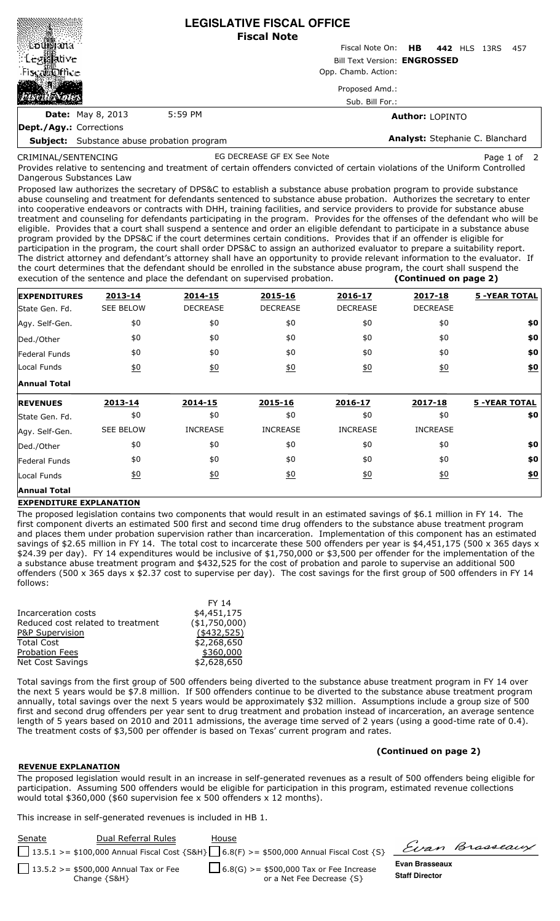|                                                   |         | <b>LEGISLATIVE FISCAL OFFICE</b><br><b>Fiscal Note</b> |
|---------------------------------------------------|---------|--------------------------------------------------------|
|                                                   |         | Fiscal Note On: <b>HB</b><br>442 HLS<br>13RS<br>457    |
| ં Leg <b>ill</b> ative                            |         | <b>Bill Text Version: ENGROSSED</b>                    |
| Fiscal binde                                      |         | Opp. Chamb. Action:                                    |
|                                                   |         | Proposed Amd.:                                         |
|                                                   |         | Sub. Bill For.:                                        |
| <b>Date:</b> May 8, 2013                          | 5:59 PM | <b>Author: LOPINTO</b>                                 |
| Dept./Agy.: Corrections                           |         |                                                        |
| <b>Subject:</b> Substance abuse probation program |         | Analyst: Stephanie C. Blanchard                        |

CRIMINAL/SENTENCING

EG DECREASE GF EX See Note Page 1 of 2

Provides relative to sentencing and treatment of certain offenders convicted of certain violations of the Uniform Controlled Dangerous Substances Law

Proposed law authorizes the secretary of DPS&C to establish a substance abuse probation program to provide substance abuse counseling and treatment for defendants sentenced to substance abuse probation. Authorizes the secretary to enter into cooperative endeavors or contracts with DHH, training facilities, and service providers to provide for substance abuse treatment and counseling for defendants participating in the program. Provides for the offenses of the defendant who will be eligible. Provides that a court shall suspend a sentence and order an eligible defendant to participate in a substance abuse program provided by the DPS&C if the court determines certain conditions. Provides that if an offender is eligible for participation in the program, the court shall order DPS&C to assign an authorized evaluator to prepare a suitability report. The district attorney and defendant's attorney shall have an opportunity to provide relevant information to the evaluator. If the court determines that the defendant should be enrolled in the substance abuse program, the court shall suspend the execution of the sentence and place the defendant on supervised probation. **(Continued on page 2)**

| <b>EXPENDITURES</b>  | 2013-14          | 2014-15           | 2015-16          | 2016-17           | 2017-18          | <b>5 -YEAR TOTAL</b> |
|----------------------|------------------|-------------------|------------------|-------------------|------------------|----------------------|
| State Gen. Fd.       | <b>SEE BELOW</b> | <b>DECREASE</b>   | <b>DECREASE</b>  | <b>DECREASE</b>   | <b>DECREASE</b>  |                      |
| Agy. Self-Gen.       | \$0              | \$0               | \$0              | \$0               | \$0              | \$0                  |
| Ded./Other           | \$0              | \$0               | \$0              | \$0               | \$0              | \$0                  |
| Federal Funds        | \$0              | \$0               | \$0              | \$0               | \$0              | \$0                  |
| Local Funds          | 60               | $\underline{\$0}$ | $\underline{50}$ | 60                | $\underline{50}$ | \$0                  |
| <b>Annual Total</b>  |                  |                   |                  |                   |                  |                      |
| <b>REVENUES</b>      | 2013-14          | 2014-15           | 2015-16          | 2016-17           | 2017-18          | <b>5 -YEAR TOTAL</b> |
| State Gen. Fd.       | \$0              | \$0               | \$0              | \$0               | \$0              | \$0                  |
| Agy. Self-Gen.       | <b>SEE BELOW</b> | <b>INCREASE</b>   | <b>INCREASE</b>  | <b>INCREASE</b>   | <b>INCREASE</b>  |                      |
| Ded./Other           | \$0              | \$0               | \$0              | \$0               | \$0              | \$0                  |
| <b>Federal Funds</b> | \$0              | \$0               | \$0              | \$0               | \$0              | \$0                  |
| Local Funds          | 60               | $\underline{\$0}$ | $\underline{50}$ | $\underline{\$0}$ | 60               | $\underline{\$0}$    |
| <b>Annual Total</b>  |                  |                   |                  |                   |                  |                      |

## **EXPENDITURE EXPLANATION**

The proposed legislation contains two components that would result in an estimated savings of \$6.1 million in FY 14. The first component diverts an estimated 500 first and second time drug offenders to the substance abuse treatment program and places them under probation supervision rather than incarceration. Implementation of this component has an estimated savings of \$2.65 million in FY 14. The total cost to incarcerate these 500 offenders per year is \$4,451,175 (500 x 365 days x \$24.39 per day). FY 14 expenditures would be inclusive of \$1,750,000 or \$3,500 per offender for the implementation of the a substance abuse treatment program and \$432,525 for the cost of probation and parole to supervise an additional 500 offenders (500 x 365 days x \$2.37 cost to supervise per day). The cost savings for the first group of 500 offenders in FY 14 follows:

|                                   | FY 14          |
|-----------------------------------|----------------|
| Incarceration costs               | \$4,451,175    |
| Reduced cost related to treatment | ( \$1,750,000) |
| P&P Supervision                   | $(*432,525)$   |
| <b>Total Cost</b>                 | \$2,268,650    |
| <b>Probation Fees</b>             | \$360,000      |
| <b>Net Cost Savings</b>           | \$2,628,650    |
|                                   |                |

Total savings from the first group of 500 offenders being diverted to the substance abuse treatment program in FY 14 over the next 5 years would be \$7.8 million. If 500 offenders continue to be diverted to the substance abuse treatment program annually, total savings over the next 5 years would be approximately \$32 million. Assumptions include a group size of 500 first and second drug offenders per year sent to drug treatment and probation instead of incarceration, an average sentence length of 5 years based on 2010 and 2011 admissions, the average time served of 2 years (using a good-time rate of 0.4). The treatment costs of \$3,500 per offender is based on Texas' current program and rates.

## **(Continued on page 2)**

## **REVENUE EXPLANATION**

The proposed legislation would result in an increase in self-generated revenues as a result of 500 offenders being eligible for participation. Assuming 500 offenders would be eligible for participation in this program, estimated revenue collections would total \$360,000 (\$60 supervision fee x 500 offenders x 12 months).

This increase in self-generated revenues is included in HB 1.

| Senate | Dual Referral Rules                                        | House                                                                                             |                                         |                |
|--------|------------------------------------------------------------|---------------------------------------------------------------------------------------------------|-----------------------------------------|----------------|
|        |                                                            | 13.5.1 >= \$100,000 Annual Fiscal Cost {S&H} $\bigcup$ 6.8(F) >= \$500,000 Annual Fiscal Cost {S} |                                         | Evan Brasseaux |
|        | 13.5.2 >= \$500,000 Annual Tax or Fee<br>Change $\{S\&H\}$ | $\Box$ 6.8(G) >= \$500,000 Tax or Fee Increase<br>or a Net Fee Decrease {S}                       | Evan Brasseaux<br><b>Staff Director</b> |                |